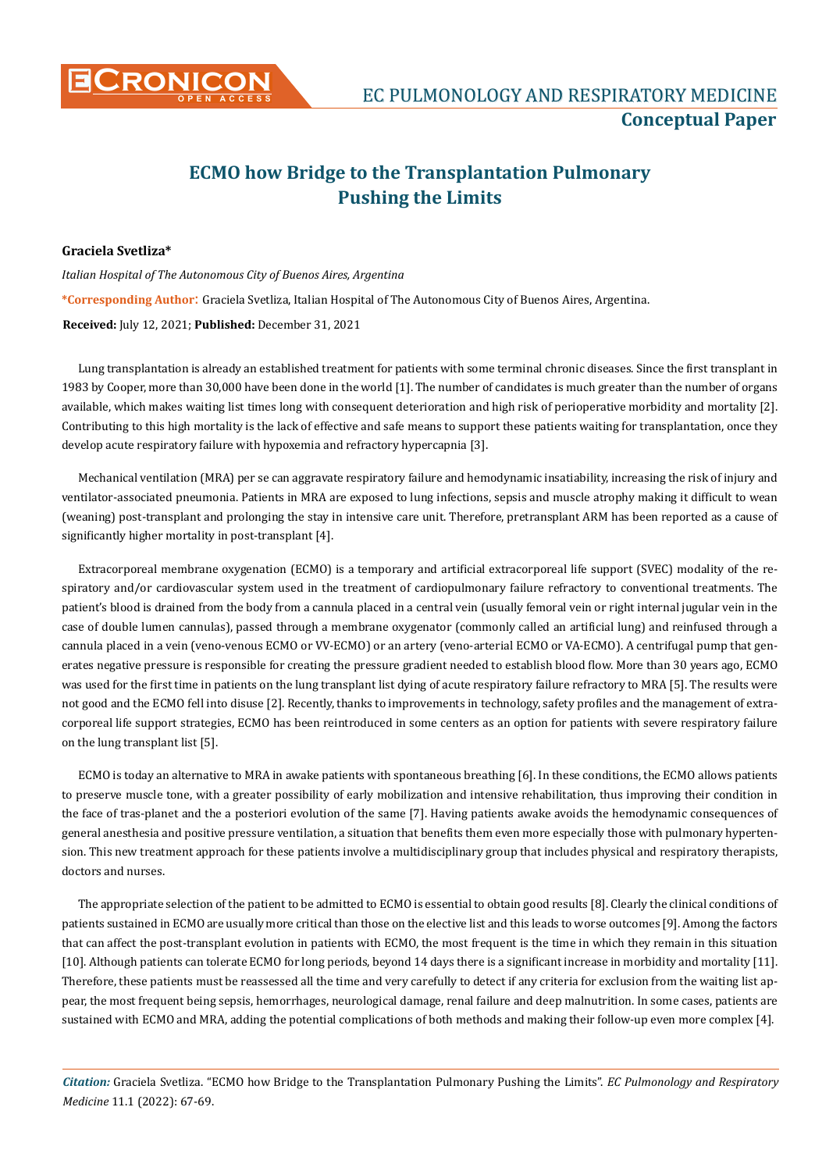

## **ECMO how Bridge to the Transplantation Pulmonary Pushing the Limits**

## **Graciela Svetliza\***

*Italian Hospital of The Autonomous City of Buenos Aires, Argentina* **\*Corresponding Author**: Graciela Svetliza, Italian Hospital of The Autonomous City of Buenos Aires, Argentina. **Received:** July 12, 2021; **Published:** December 31, 2021

Lung transplantation is already an established treatment for patients with some terminal chronic diseases. Since the first transplant in 1983 by Cooper, more than 30,000 have been done in the world [1]. The number of candidates is much greater than the number of organs available, which makes waiting list times long with consequent deterioration and high risk of perioperative morbidity and mortality [2]. Contributing to this high mortality is the lack of effective and safe means to support these patients waiting for transplantation, once they develop acute respiratory failure with hypoxemia and refractory hypercapnia [3].

Mechanical ventilation (MRA) per se can aggravate respiratory failure and hemodynamic insatiability, increasing the risk of injury and ventilator-associated pneumonia. Patients in MRA are exposed to lung infections, sepsis and muscle atrophy making it difficult to wean (weaning) post-transplant and prolonging the stay in intensive care unit. Therefore, pretransplant ARM has been reported as a cause of significantly higher mortality in post-transplant [4].

Extracorporeal membrane oxygenation (ECMO) is a temporary and artificial extracorporeal life support (SVEC) modality of the respiratory and/or cardiovascular system used in the treatment of cardiopulmonary failure refractory to conventional treatments. The patient's blood is drained from the body from a cannula placed in a central vein (usually femoral vein or right internal jugular vein in the case of double lumen cannulas), passed through a membrane oxygenator (commonly called an artificial lung) and reinfused through a cannula placed in a vein (veno-venous ECMO or VV-ECMO) or an artery (veno-arterial ECMO or VA-ECMO). A centrifugal pump that generates negative pressure is responsible for creating the pressure gradient needed to establish blood flow. More than 30 years ago, ECMO was used for the first time in patients on the lung transplant list dying of acute respiratory failure refractory to MRA [5]. The results were not good and the ECMO fell into disuse [2]. Recently, thanks to improvements in technology, safety profiles and the management of extracorporeal life support strategies, ECMO has been reintroduced in some centers as an option for patients with severe respiratory failure on the lung transplant list [5].

ECMO is today an alternative to MRA in awake patients with spontaneous breathing [6]. In these conditions, the ECMO allows patients to preserve muscle tone, with a greater possibility of early mobilization and intensive rehabilitation, thus improving their condition in the face of tras-planet and the a posteriori evolution of the same [7]. Having patients awake avoids the hemodynamic consequences of general anesthesia and positive pressure ventilation, a situation that benefits them even more especially those with pulmonary hypertension. This new treatment approach for these patients involve a multidisciplinary group that includes physical and respiratory therapists, doctors and nurses.

The appropriate selection of the patient to be admitted to ECMO is essential to obtain good results [8]. Clearly the clinical conditions of patients sustained in ECMO are usually more critical than those on the elective list and this leads to worse outcomes [9]. Among the factors that can affect the post-transplant evolution in patients with ECMO, the most frequent is the time in which they remain in this situation [10]. Although patients can tolerate ECMO for long periods, beyond 14 days there is a significant increase in morbidity and mortality [11]. Therefore, these patients must be reassessed all the time and very carefully to detect if any criteria for exclusion from the waiting list appear, the most frequent being sepsis, hemorrhages, neurological damage, renal failure and deep malnutrition. In some cases, patients are sustained with ECMO and MRA, adding the potential complications of both methods and making their follow-up even more complex [4].

*Citation:* Graciela Svetliza. "ECMO how Bridge to the Transplantation Pulmonary Pushing the Limits". *EC Pulmonology and Respiratory Medicine* 11.1 (2022): 67-69.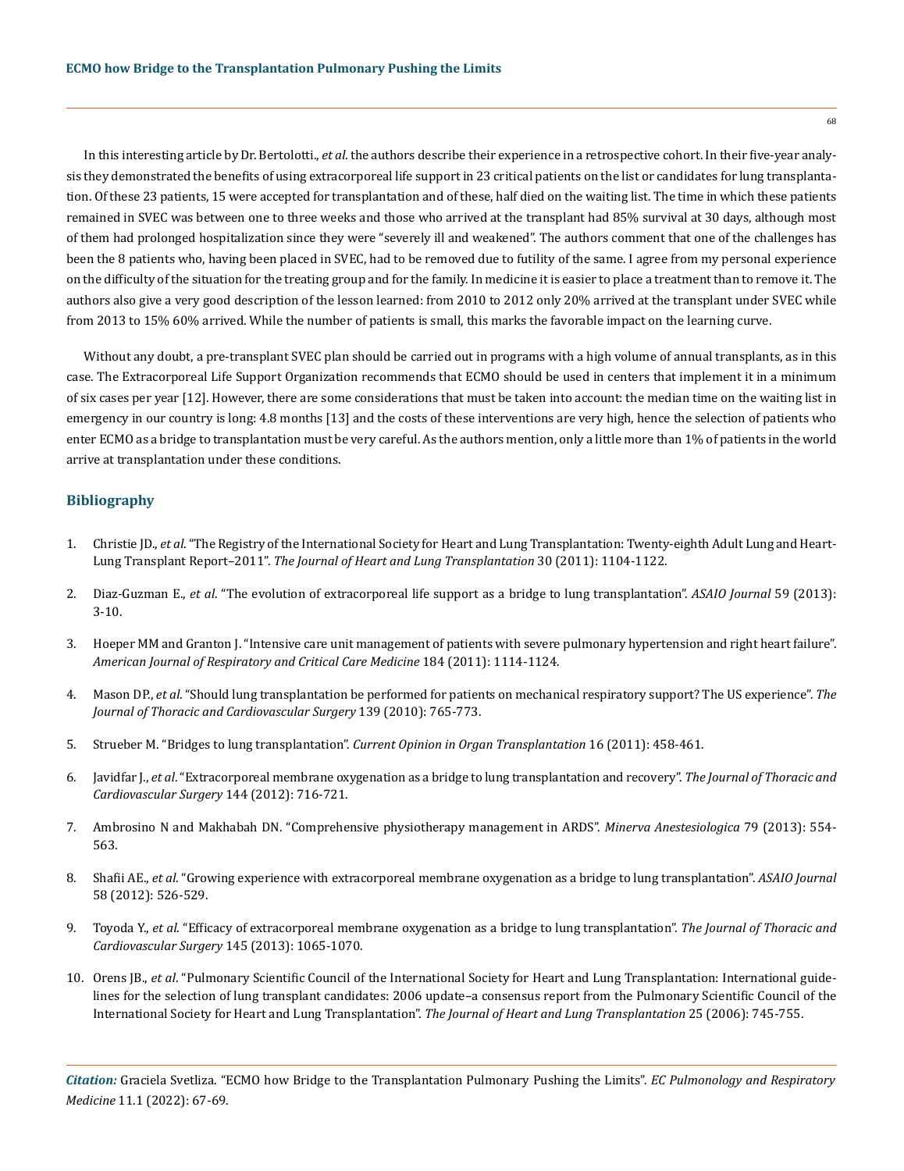In this interesting article by Dr. Bertolotti., *et al*. the authors describe their experience in a retrospective cohort. In their five-year analysis they demonstrated the benefits of using extracorporeal life support in 23 critical patients on the list or candidates for lung transplantation. Of these 23 patients, 15 were accepted for transplantation and of these, half died on the waiting list. The time in which these patients remained in SVEC was between one to three weeks and those who arrived at the transplant had 85% survival at 30 days, although most of them had prolonged hospitalization since they were "severely ill and weakened". The authors comment that one of the challenges has been the 8 patients who, having been placed in SVEC, had to be removed due to futility of the same. I agree from my personal experience on the difficulty of the situation for the treating group and for the family. In medicine it is easier to place a treatment than to remove it. The authors also give a very good description of the lesson learned: from 2010 to 2012 only 20% arrived at the transplant under SVEC while from 2013 to 15% 60% arrived. While the number of patients is small, this marks the favorable impact on the learning curve.

Without any doubt, a pre-transplant SVEC plan should be carried out in programs with a high volume of annual transplants, as in this case. The Extracorporeal Life Support Organization recommends that ECMO should be used in centers that implement it in a minimum of six cases per year [12]. However, there are some considerations that must be taken into account: the median time on the waiting list in emergency in our country is long: 4.8 months [13] and the costs of these interventions are very high, hence the selection of patients who enter ECMO as a bridge to transplantation must be very careful. As the authors mention, only a little more than 1% of patients in the world arrive at transplantation under these conditions.

## **Bibliography**

- 1. Christie JD., *et al*[. "The Registry of the International Society for Heart and Lung Transplantation: Twenty-eighth Adult Lung and Heart-](https://pubmed.ncbi.nlm.nih.gov/21962018/)Lung Transplant Report–2011". *[The Journal of Heart and Lung Transplantation](https://pubmed.ncbi.nlm.nih.gov/21962018/)* 30 (2011): 1104-1122.
- 2. Diaz-Guzman E., *et al*[. "The evolution of extracorporeal life support as a bridge to lung transplantation".](https://journals.lww.com/asaiojournal/fulltext/2013/01000/The_Evolution_of_Extracorporeal_Life_Support_as_a.2.aspx) *ASAIO Journal* 59 (2013): [3-10.](https://journals.lww.com/asaiojournal/fulltext/2013/01000/The_Evolution_of_Extracorporeal_Life_Support_as_a.2.aspx)
- 3. [Hoeper MM and Granton J. "Intensive care unit management of patients with severe pulmonary hypertension and right heart failure".](https://pubmed.ncbi.nlm.nih.gov/21700906/)  *[American Journal of Respiratory and Critical Care Medicine](https://pubmed.ncbi.nlm.nih.gov/21700906/)* 184 (2011): 1114-1124.
- 4. Mason DP., *et al*[. "Should lung transplantation be performed for patients on mechanical respiratory support? The US experience".](https://www.jtcvs.org/article/S0022-5223(09)01258-6/fulltext) *The [Journal of Thoracic and Cardiovascular Surgery](https://www.jtcvs.org/article/S0022-5223(09)01258-6/fulltext)* 139 (2010): 765-773.
- 5. Strueber M. "Bridges to lung transplantation". *[Current Opinion in Organ Transplantation](https://pubmed.ncbi.nlm.nih.gov/21897243/)* 16 (2011): 458-461.
- 6. Javidfar J., *et al*[. "Extracorporeal membrane oxygenation as a bridge to lung transplantation and recovery".](https://pubmed.ncbi.nlm.nih.gov/23312979/) *The Journal of Thoracic and [Cardiovascular Surgery](https://pubmed.ncbi.nlm.nih.gov/23312979/)* 144 (2012): 716-721.
- 7. [Ambrosino N and Makhabah DN. "Comprehensive physiotherapy management in ARDS".](https://pubmed.ncbi.nlm.nih.gov/23306398/) *Minerva Anestesiologica* 79 (2013): 554- [563.](https://pubmed.ncbi.nlm.nih.gov/23306398/)
- 8. Shafii AE., *et al*[. "Growing experience with extracorporeal membrane oxygenation as a bridge to lung transplantation".](https://pubmed.ncbi.nlm.nih.gov/22929896/) *ASAIO Journal* [58 \(2012\): 526-529.](https://pubmed.ncbi.nlm.nih.gov/22929896/)
- 9. Toyoda Y., *et al*[. "Efficacy of extracorporeal membrane oxygenation as a bridge to lung transplantation".](https://pubmed.ncbi.nlm.nih.gov/23332185/) *The Journal of Thoracic and [Cardiovascular Surgery](https://pubmed.ncbi.nlm.nih.gov/23332185/)* 145 (2013): 1065-1070.
- 10. Orens JB., *et al*. "Pulmonary Scientific Council of the International Society for Heart and Lung Transplantation: International guidelines for the selection of lung transplant candidates: 2006 update–a consensus report from the Pulmonary Scientific Council of the International Society for Heart and Lung Transplantation". *The Journal of Heart and Lung Transplantation* 25 (2006): 745-755.

*Citation:* Graciela Svetliza. "ECMO how Bridge to the Transplantation Pulmonary Pushing the Limits". *EC Pulmonology and Respiratory Medicine* 11.1 (2022): 67-69.

68